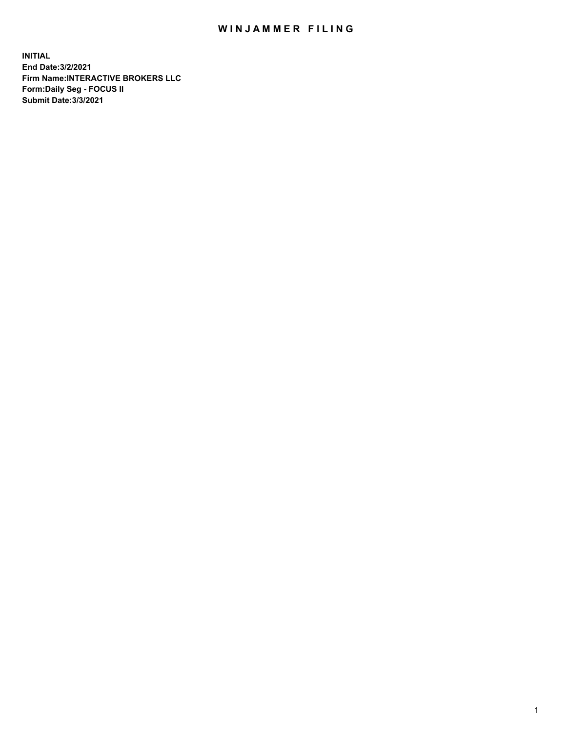## WIN JAMMER FILING

**INITIAL End Date:3/2/2021 Firm Name:INTERACTIVE BROKERS LLC Form:Daily Seg - FOCUS II Submit Date:3/3/2021**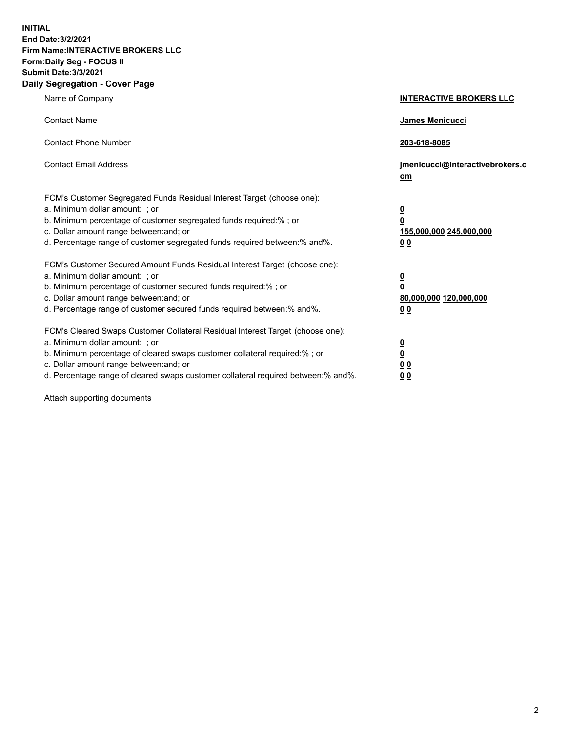**INITIAL End Date:3/2/2021 Firm Name:INTERACTIVE BROKERS LLC Form:Daily Seg - FOCUS II Submit Date:3/3/2021 Daily Segregation - Cover Page**

| Name of Company                                                                                                                                                                                                                                                                                                                | <b>INTERACTIVE BROKERS LLC</b>                                                                  |
|--------------------------------------------------------------------------------------------------------------------------------------------------------------------------------------------------------------------------------------------------------------------------------------------------------------------------------|-------------------------------------------------------------------------------------------------|
| <b>Contact Name</b>                                                                                                                                                                                                                                                                                                            | <b>James Menicucci</b>                                                                          |
| <b>Contact Phone Number</b>                                                                                                                                                                                                                                                                                                    | 203-618-8085                                                                                    |
| <b>Contact Email Address</b>                                                                                                                                                                                                                                                                                                   | jmenicucci@interactivebrokers.c<br>om                                                           |
| FCM's Customer Segregated Funds Residual Interest Target (choose one):<br>a. Minimum dollar amount: ; or<br>b. Minimum percentage of customer segregated funds required:%; or<br>c. Dollar amount range between: and; or<br>d. Percentage range of customer segregated funds required between:% and%.                          | $\overline{\mathbf{0}}$<br>$\overline{\mathbf{0}}$<br>155,000,000 245,000,000<br>0 <sub>0</sub> |
| FCM's Customer Secured Amount Funds Residual Interest Target (choose one):<br>a. Minimum dollar amount: ; or<br>b. Minimum percentage of customer secured funds required:%; or<br>c. Dollar amount range between: and; or<br>d. Percentage range of customer secured funds required between:% and%.                            | $\overline{\mathbf{0}}$<br>$\overline{\mathbf{0}}$<br>80,000,000 120,000,000<br>0 <sub>0</sub>  |
| FCM's Cleared Swaps Customer Collateral Residual Interest Target (choose one):<br>a. Minimum dollar amount: ; or<br>b. Minimum percentage of cleared swaps customer collateral required:% ; or<br>c. Dollar amount range between: and; or<br>d. Percentage range of cleared swaps customer collateral required between:% and%. | $\overline{\mathbf{0}}$<br>$\overline{\mathbf{0}}$<br>0 <sub>0</sub><br>0 <sub>0</sub>          |

Attach supporting documents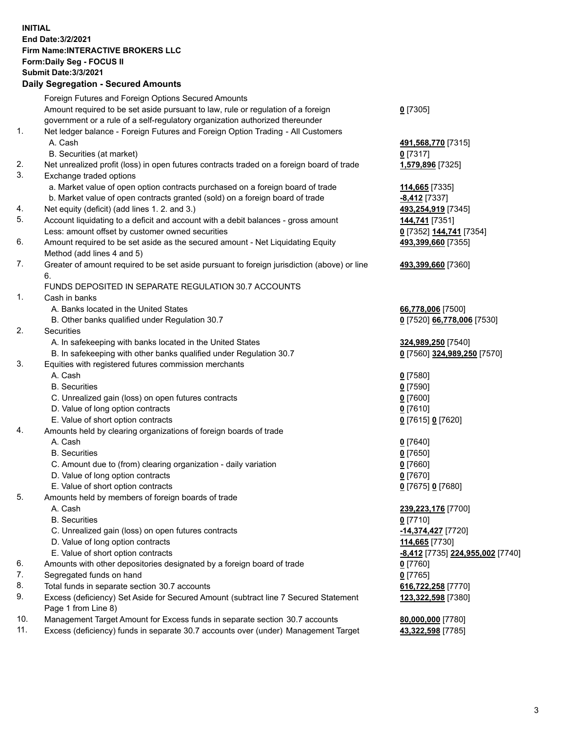**INITIAL End Date:3/2/2021 Firm Name:INTERACTIVE BROKERS LLC Form:Daily Seg - FOCUS II Submit Date:3/3/2021 Daily Segregation - Secured Amounts**

|     | Foreign Futures and Foreign Options Secured Amounts                                         |                                         |
|-----|---------------------------------------------------------------------------------------------|-----------------------------------------|
|     | Amount required to be set aside pursuant to law, rule or regulation of a foreign            | $0$ [7305]                              |
|     | government or a rule of a self-regulatory organization authorized thereunder                |                                         |
| 1.  | Net ledger balance - Foreign Futures and Foreign Option Trading - All Customers             |                                         |
|     | A. Cash                                                                                     | 491,568,770 [7315]                      |
|     | B. Securities (at market)                                                                   | $0$ [7317]                              |
| 2.  | Net unrealized profit (loss) in open futures contracts traded on a foreign board of trade   | 1,579,896 [7325]                        |
| 3.  | Exchange traded options                                                                     |                                         |
|     | a. Market value of open option contracts purchased on a foreign board of trade              | 114,665 [7335]                          |
|     | b. Market value of open contracts granted (sold) on a foreign board of trade                | <b>-8,412</b> [7337]                    |
| 4.  | Net equity (deficit) (add lines 1. 2. and 3.)                                               | 493,254,919 [7345]                      |
| 5.  | Account liquidating to a deficit and account with a debit balances - gross amount           | 144,741 [7351]                          |
|     | Less: amount offset by customer owned securities                                            | 0 [7352] 144,741 [7354]                 |
| 6.  | Amount required to be set aside as the secured amount - Net Liquidating Equity              | 493,399,660 [7355]                      |
|     | Method (add lines 4 and 5)                                                                  |                                         |
| 7.  | Greater of amount required to be set aside pursuant to foreign jurisdiction (above) or line | 493,399,660 [7360]                      |
|     | 6.<br>FUNDS DEPOSITED IN SEPARATE REGULATION 30.7 ACCOUNTS                                  |                                         |
| 1.  | Cash in banks                                                                               |                                         |
|     | A. Banks located in the United States                                                       | 66,778,006 [7500]                       |
|     | B. Other banks qualified under Regulation 30.7                                              | 0 [7520] 66,778,006 [7530]              |
| 2.  | Securities                                                                                  |                                         |
|     | A. In safekeeping with banks located in the United States                                   | 324,989,250 [7540]                      |
|     | B. In safekeeping with other banks qualified under Regulation 30.7                          | 0 [7560] 324,989,250 [7570]             |
| 3.  | Equities with registered futures commission merchants                                       |                                         |
|     | A. Cash                                                                                     | $0$ [7580]                              |
|     | <b>B.</b> Securities                                                                        | $0$ [7590]                              |
|     | C. Unrealized gain (loss) on open futures contracts                                         | $0$ [7600]                              |
|     | D. Value of long option contracts                                                           | $0$ [7610]                              |
|     | E. Value of short option contracts                                                          | 0 [7615] 0 [7620]                       |
| 4.  | Amounts held by clearing organizations of foreign boards of trade                           |                                         |
|     | A. Cash                                                                                     | $0$ [7640]                              |
|     | <b>B.</b> Securities                                                                        | $0$ [7650]                              |
|     | C. Amount due to (from) clearing organization - daily variation                             | $0$ [7660]                              |
|     | D. Value of long option contracts                                                           | $0$ [7670]                              |
|     | E. Value of short option contracts                                                          | 0 [7675] 0 [7680]                       |
| 5.  | Amounts held by members of foreign boards of trade                                          |                                         |
|     | A. Cash                                                                                     | 239,223,176 [7700]                      |
|     | <b>B.</b> Securities                                                                        | $0$ [7710]                              |
|     | C. Unrealized gain (loss) on open futures contracts                                         | -14,374,427 [7720]                      |
|     | D. Value of long option contracts                                                           | 114,665 [7730]                          |
|     | E. Value of short option contracts                                                          | <u>-8,412</u> [7735] 224,955,002 [7740] |
| 6.  | Amounts with other depositories designated by a foreign board of trade                      | $0$ [7760]                              |
| 7.  | Segregated funds on hand                                                                    | $0$ [7765]                              |
| 8.  | Total funds in separate section 30.7 accounts                                               | 616,722,258 [7770]                      |
| 9.  | Excess (deficiency) Set Aside for Secured Amount (subtract line 7 Secured Statement         | 123,322,598 [7380]                      |
|     | Page 1 from Line 8)                                                                         |                                         |
| 10. | Management Target Amount for Excess funds in separate section 30.7 accounts                 | 80,000,000 [7780]                       |
| 11. | Excess (deficiency) funds in separate 30.7 accounts over (under) Management Target          | 43,322,598 [7785]                       |
|     |                                                                                             |                                         |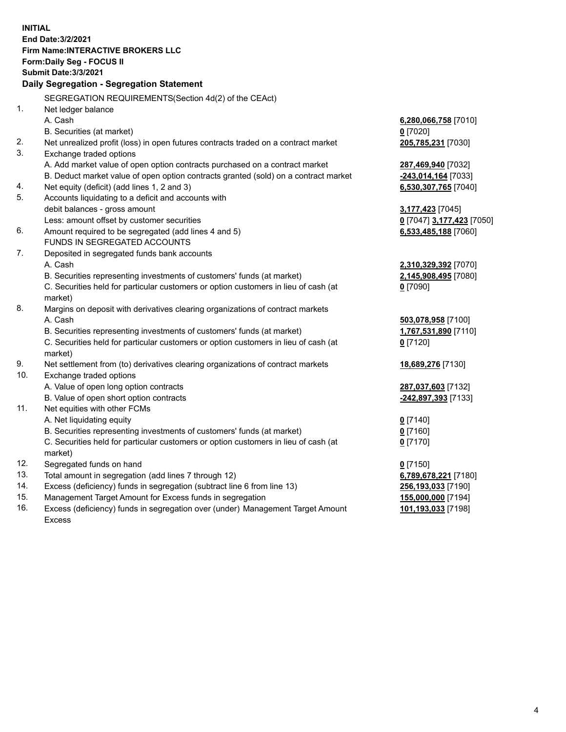**INITIAL End Date:3/2/2021 Firm Name:INTERACTIVE BROKERS LLC Form:Daily Seg - FOCUS II Submit Date:3/3/2021 Daily Segregation - Segregation Statement** SEGREGATION REQUIREMENTS(Section 4d(2) of the CEAct) 1. Net ledger balance A. Cash **6,280,066,758** [7010] B. Securities (at market) **0** [7020] 2. Net unrealized profit (loss) in open futures contracts traded on a contract market **205,785,231** [7030] 3. Exchange traded options A. Add market value of open option contracts purchased on a contract market **287,469,940** [7032] B. Deduct market value of open option contracts granted (sold) on a contract market **-243,014,164** [7033] 4. Net equity (deficit) (add lines 1, 2 and 3) **6,530,307,765** [7040] 5. Accounts liquidating to a deficit and accounts with debit balances - gross amount **3,177,423** [7045] Less: amount offset by customer securities **0** [7047] **3,177,423** [7050] 6. Amount required to be segregated (add lines 4 and 5) **6,533,485,188** [7060] FUNDS IN SEGREGATED ACCOUNTS 7. Deposited in segregated funds bank accounts A. Cash **2,310,329,392** [7070] B. Securities representing investments of customers' funds (at market) **2,145,908,495** [7080] C. Securities held for particular customers or option customers in lieu of cash (at market) **0** [7090] 8. Margins on deposit with derivatives clearing organizations of contract markets A. Cash **503,078,958** [7100] B. Securities representing investments of customers' funds (at market) **1,767,531,890** [7110] C. Securities held for particular customers or option customers in lieu of cash (at market) **0** [7120] 9. Net settlement from (to) derivatives clearing organizations of contract markets **18,689,276** [7130] 10. Exchange traded options A. Value of open long option contracts **287,037,603** [7132] B. Value of open short option contracts **-242,897,393** [7133] 11. Net equities with other FCMs A. Net liquidating equity **0** [7140] B. Securities representing investments of customers' funds (at market) **0** [7160] C. Securities held for particular customers or option customers in lieu of cash (at market) **0** [7170] 12. Segregated funds on hand **0** [7150] 13. Total amount in segregation (add lines 7 through 12) **6,789,678,221** [7180] 14. Excess (deficiency) funds in segregation (subtract line 6 from line 13) **256,193,033** [7190] 15. Management Target Amount for Excess funds in segregation **155,000,000** [7194] 16. Excess (deficiency) funds in segregation over (under) Management Target Amount Excess **101,193,033** [7198]